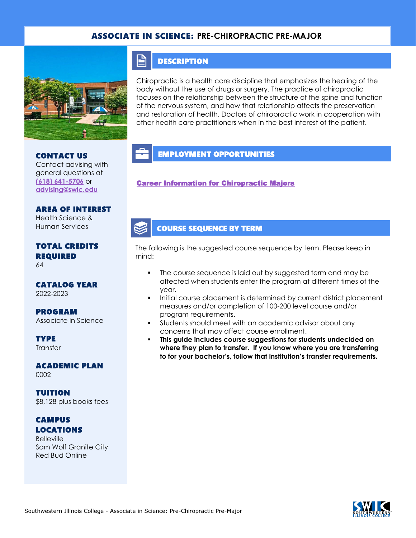### ASSOCIATE IN SCIENCE: **PRE-CHIROPRACTIC PRE-MAJOR**



#### **DESCRIPTION**

 $\mathop{\boxplus}$ 

Chiropractic is a health care discipline that emphasizes the healing of the body without the use of drugs or surgery. The practice of chiropractic focuses on the relationship between the structure of the spine and function of the nervous system, and how that relationship affects the preservation and restoration of health. Doctors of chiropractic work in cooperation with other health care practitioners when in the best interest of the patient.

## CONTACT US

Contact advising with general questions at **[\(618\) 641-5706](tel:%20(618)%20641-5706)** or **[advising@swic.edu](mailto:advising@swic.edu)**

#### AREA OF INTEREST Health Science &

Human Services

# TOTAL CREDITS REQUIRED

64

#### CATALOG YEAR 2022-2023

PROGRAM Associate in Science

**TYPE Transfer** 

ACADEMIC PLAN 0002

TUITION \$8,128 plus books fees

### **CAMPUS** LOCATIONS

**Belleville** Sam Wolf Granite City Red Bud Online

## EMPLOYMENT OPPORTUNITIES

[Career Information for Chiropractic Majors](https://www.onetonline.org/link/summary/29-1011.00) 

### COURSE SEQUENCE BY TERM

The following is the suggested course sequence by term. Please keep in mind:

- The course sequence is laid out by suggested term and may be affected when students enter the program at different times of the year.
- Initial course placement is determined by current district placement measures and/or completion of 100-200 level course and/or program requirements.
- Students should meet with an academic advisor about any concerns that may affect course enrollment.
- This guide includes course suggestions for students undecided on **where they plan to transfer. If you know where you are transferring to for your bachelor's, follow that institution's transfer requirements.**